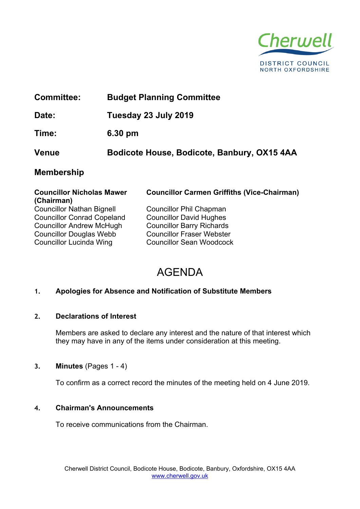

| <b>Committee:</b>                |  | <b>Budget Planning Committee</b>                   |  |
|----------------------------------|--|----------------------------------------------------|--|
| Date:                            |  | Tuesday 23 July 2019                               |  |
| Time:                            |  | $6.30$ pm                                          |  |
| <b>Venue</b>                     |  | Bodicote House, Bodicote, Banbury, OX15 4AA        |  |
| <b>Membership</b>                |  |                                                    |  |
| <b>Councillor Nicholas Mawer</b> |  | <b>Councillor Carmen Griffiths (Vice-Chairman)</b> |  |

| (Chairman)                        |                                  |
|-----------------------------------|----------------------------------|
| <b>Councillor Nathan Bignell</b>  | <b>Councillor Phil Chapman</b>   |
| <b>Councillor Conrad Copeland</b> | <b>Councillor David Hughes</b>   |
| <b>Councillor Andrew McHugh</b>   | <b>Councillor Barry Richards</b> |
| <b>Councillor Douglas Webb</b>    | <b>Councillor Fraser Webster</b> |
| <b>Councillor Lucinda Wing</b>    | <b>Councillor Sean Woodcock</b>  |

**Councillor Carmen Griffiths (Vice-Chairman)**

| <b>Councillor Phil Chapman</b>   |
|----------------------------------|
| <b>Councillor David Hughes</b>   |
| <b>Councillor Barry Richards</b> |
| <b>Councillor Fraser Webster</b> |
| <b>Councillor Sean Woodcock</b>  |

# AGENDA

# **1. Apologies for Absence and Notification of Substitute Members**

# **2. Declarations of Interest**

Members are asked to declare any interest and the nature of that interest which they may have in any of the items under consideration at this meeting.

# **3. Minutes** (Pages 1 - 4)

To confirm as a correct record the minutes of the meeting held on 4 June 2019.

# **4. Chairman's Announcements**

To receive communications from the Chairman.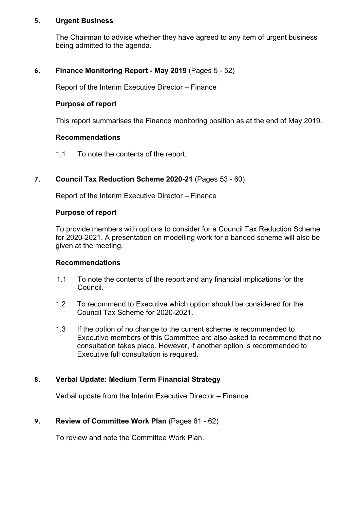#### **5. Urgent Business**

The Chairman to advise whether they have agreed to any item of urgent business being admitted to the agenda.

## **6. Finance Monitoring Report - May 2019** (Pages 5 - 52)

Report of the Interim Executive Director – Finance

#### **Purpose of report**

This report summarises the Finance monitoring position as at the end of May 2019.

#### **Recommendations**

1.1 To note the contents of the report.

#### **7. Council Tax Reduction Scheme 2020-21** (Pages 53 - 60)

Report of the Interim Executive Director – Finance

#### **Purpose of report**

To provide members with options to consider for a Council Tax Reduction Scheme for 2020-2021. A presentation on modelling work for a banded scheme will also be given at the meeting.

#### **Recommendations**

- 1.1 To note the contents of the report and any financial implications for the Council.
- 1.2 To recommend to Executive which option should be considered for the Council Tax Scheme for 2020-2021.
- 1.3 If the option of no change to the current scheme is recommended to Executive members of this Committee are also asked to recommend that no consultation takes place. However, if another option is recommended to Executive full consultation is required.

# **8. Verbal Update: Medium Term Financial Strategy**

Verbal update from the Interim Executive Director – Finance.

#### **9. Review of Committee Work Plan** (Pages 61 - 62)

To review and note the Committee Work Plan.